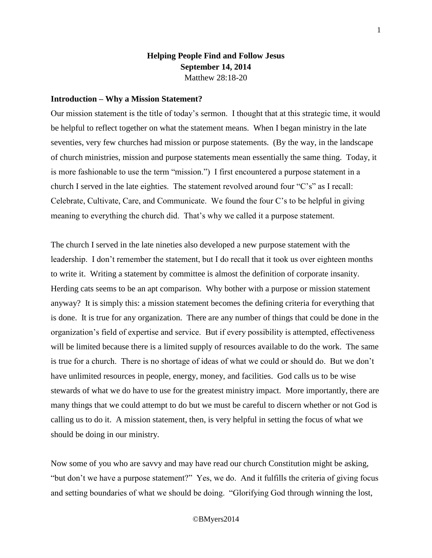# **Helping People Find and Follow Jesus September 14, 2014** Matthew 28:18-20

### **Introduction – Why a Mission Statement?**

Our mission statement is the title of today's sermon. I thought that at this strategic time, it would be helpful to reflect together on what the statement means. When I began ministry in the late seventies, very few churches had mission or purpose statements. (By the way, in the landscape of church ministries, mission and purpose statements mean essentially the same thing. Today, it is more fashionable to use the term "mission.") I first encountered a purpose statement in a church I served in the late eighties. The statement revolved around four "C's" as I recall: Celebrate, Cultivate, Care, and Communicate. We found the four C's to be helpful in giving meaning to everything the church did. That's why we called it a purpose statement.

The church I served in the late nineties also developed a new purpose statement with the leadership. I don't remember the statement, but I do recall that it took us over eighteen months to write it. Writing a statement by committee is almost the definition of corporate insanity. Herding cats seems to be an apt comparison. Why bother with a purpose or mission statement anyway? It is simply this: a mission statement becomes the defining criteria for everything that is done. It is true for any organization. There are any number of things that could be done in the organization's field of expertise and service. But if every possibility is attempted, effectiveness will be limited because there is a limited supply of resources available to do the work. The same is true for a church. There is no shortage of ideas of what we could or should do. But we don't have unlimited resources in people, energy, money, and facilities. God calls us to be wise stewards of what we do have to use for the greatest ministry impact. More importantly, there are many things that we could attempt to do but we must be careful to discern whether or not God is calling us to do it. A mission statement, then, is very helpful in setting the focus of what we should be doing in our ministry.

Now some of you who are savvy and may have read our church Constitution might be asking, "but don't we have a purpose statement?" Yes, we do. And it fulfills the criteria of giving focus and setting boundaries of what we should be doing. "Glorifying God through winning the lost,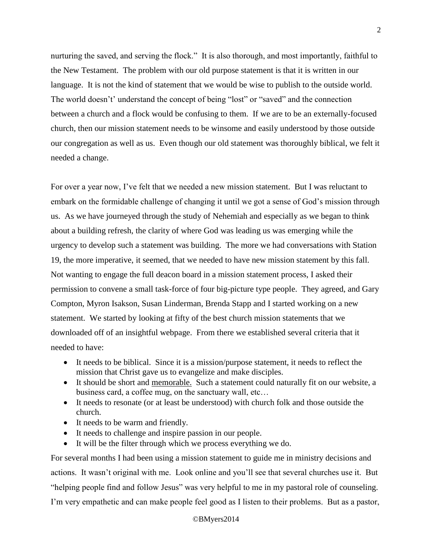nurturing the saved, and serving the flock." It is also thorough, and most importantly, faithful to the New Testament. The problem with our old purpose statement is that it is written in our language. It is not the kind of statement that we would be wise to publish to the outside world. The world doesn't' understand the concept of being "lost" or "saved" and the connection between a church and a flock would be confusing to them. If we are to be an externally-focused church, then our mission statement needs to be winsome and easily understood by those outside our congregation as well as us. Even though our old statement was thoroughly biblical, we felt it needed a change.

For over a year now, I've felt that we needed a new mission statement. But I was reluctant to embark on the formidable challenge of changing it until we got a sense of God's mission through us. As we have journeyed through the study of Nehemiah and especially as we began to think about a building refresh, the clarity of where God was leading us was emerging while the urgency to develop such a statement was building. The more we had conversations with Station 19, the more imperative, it seemed, that we needed to have new mission statement by this fall. Not wanting to engage the full deacon board in a mission statement process, I asked their permission to convene a small task-force of four big-picture type people. They agreed, and Gary Compton, Myron Isakson, Susan Linderman, Brenda Stapp and I started working on a new statement. We started by looking at fifty of the best church mission statements that we downloaded off of an insightful webpage. From there we established several criteria that it needed to have:

- It needs to be biblical. Since it is a mission/purpose statement, it needs to reflect the mission that Christ gave us to evangelize and make disciples.
- It should be short and memorable. Such a statement could naturally fit on our website, a business card, a coffee mug, on the sanctuary wall, etc…
- It needs to resonate (or at least be understood) with church folk and those outside the church.
- It needs to be warm and friendly.
- It needs to challenge and inspire passion in our people.
- It will be the filter through which we process everything we do.

For several months I had been using a mission statement to guide me in ministry decisions and actions. It wasn't original with me. Look online and you'll see that several churches use it. But "helping people find and follow Jesus" was very helpful to me in my pastoral role of counseling. I'm very empathetic and can make people feel good as I listen to their problems. But as a pastor,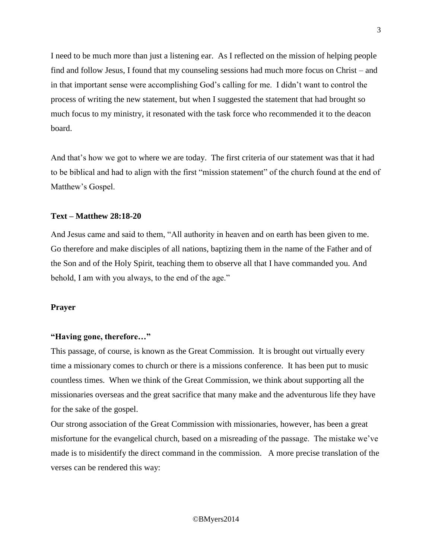I need to be much more than just a listening ear. As I reflected on the mission of helping people find and follow Jesus, I found that my counseling sessions had much more focus on Christ – and in that important sense were accomplishing God's calling for me. I didn't want to control the process of writing the new statement, but when I suggested the statement that had brought so much focus to my ministry, it resonated with the task force who recommended it to the deacon board.

And that's how we got to where we are today. The first criteria of our statement was that it had to be biblical and had to align with the first "mission statement" of the church found at the end of Matthew's Gospel.

### **Text – Matthew 28:18-20**

And Jesus came and said to them, "All authority in heaven and on earth has been given to me. Go therefore and make disciples of all nations, baptizing them in the name of the Father and of the Son and of the Holy Spirit, teaching them to observe all that I have commanded you. And behold, I am with you always, to the end of the age."

### **Prayer**

### **"Having gone, therefore…"**

This passage, of course, is known as the Great Commission. It is brought out virtually every time a missionary comes to church or there is a missions conference. It has been put to music countless times. When we think of the Great Commission, we think about supporting all the missionaries overseas and the great sacrifice that many make and the adventurous life they have for the sake of the gospel.

Our strong association of the Great Commission with missionaries, however, has been a great misfortune for the evangelical church, based on a misreading of the passage. The mistake we've made is to misidentify the direct command in the commission. A more precise translation of the verses can be rendered this way: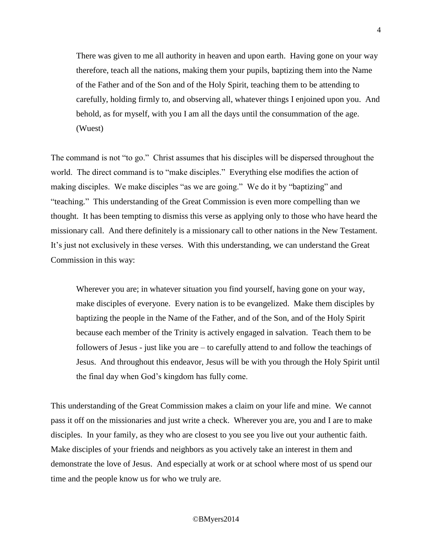There was given to me all authority in heaven and upon earth. Having gone on your way therefore, teach all the nations, making them your pupils, baptizing them into the Name of the Father and of the Son and of the Holy Spirit, teaching them to be attending to carefully, holding firmly to, and observing all, whatever things I enjoined upon you. And behold, as for myself, with you I am all the days until the consummation of the age. (Wuest)

The command is not "to go." Christ assumes that his disciples will be dispersed throughout the world. The direct command is to "make disciples." Everything else modifies the action of making disciples. We make disciples "as we are going." We do it by "baptizing" and "teaching." This understanding of the Great Commission is even more compelling than we thought. It has been tempting to dismiss this verse as applying only to those who have heard the missionary call. And there definitely is a missionary call to other nations in the New Testament. It's just not exclusively in these verses. With this understanding, we can understand the Great Commission in this way:

Wherever you are; in whatever situation you find yourself, having gone on your way, make disciples of everyone. Every nation is to be evangelized. Make them disciples by baptizing the people in the Name of the Father, and of the Son, and of the Holy Spirit because each member of the Trinity is actively engaged in salvation. Teach them to be followers of Jesus - just like you are – to carefully attend to and follow the teachings of Jesus. And throughout this endeavor, Jesus will be with you through the Holy Spirit until the final day when God's kingdom has fully come.

This understanding of the Great Commission makes a claim on your life and mine. We cannot pass it off on the missionaries and just write a check. Wherever you are, you and I are to make disciples. In your family, as they who are closest to you see you live out your authentic faith. Make disciples of your friends and neighbors as you actively take an interest in them and demonstrate the love of Jesus. And especially at work or at school where most of us spend our time and the people know us for who we truly are.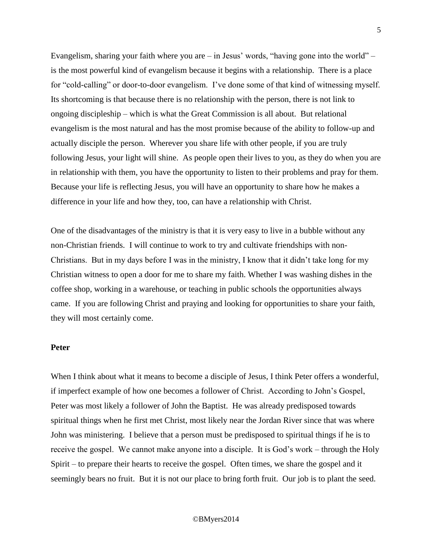Evangelism, sharing your faith where you are – in Jesus' words, "having gone into the world" – is the most powerful kind of evangelism because it begins with a relationship. There is a place for "cold-calling" or door-to-door evangelism. I've done some of that kind of witnessing myself. Its shortcoming is that because there is no relationship with the person, there is not link to ongoing discipleship – which is what the Great Commission is all about. But relational evangelism is the most natural and has the most promise because of the ability to follow-up and actually disciple the person. Wherever you share life with other people, if you are truly following Jesus, your light will shine. As people open their lives to you, as they do when you are in relationship with them, you have the opportunity to listen to their problems and pray for them. Because your life is reflecting Jesus, you will have an opportunity to share how he makes a difference in your life and how they, too, can have a relationship with Christ.

One of the disadvantages of the ministry is that it is very easy to live in a bubble without any non-Christian friends. I will continue to work to try and cultivate friendships with non-Christians. But in my days before I was in the ministry, I know that it didn't take long for my Christian witness to open a door for me to share my faith. Whether I was washing dishes in the coffee shop, working in a warehouse, or teaching in public schools the opportunities always came. If you are following Christ and praying and looking for opportunities to share your faith, they will most certainly come.

### **Peter**

When I think about what it means to become a disciple of Jesus, I think Peter offers a wonderful, if imperfect example of how one becomes a follower of Christ. According to John's Gospel, Peter was most likely a follower of John the Baptist. He was already predisposed towards spiritual things when he first met Christ, most likely near the Jordan River since that was where John was ministering. I believe that a person must be predisposed to spiritual things if he is to receive the gospel. We cannot make anyone into a disciple. It is God's work – through the Holy Spirit – to prepare their hearts to receive the gospel. Often times, we share the gospel and it seemingly bears no fruit. But it is not our place to bring forth fruit. Our job is to plant the seed.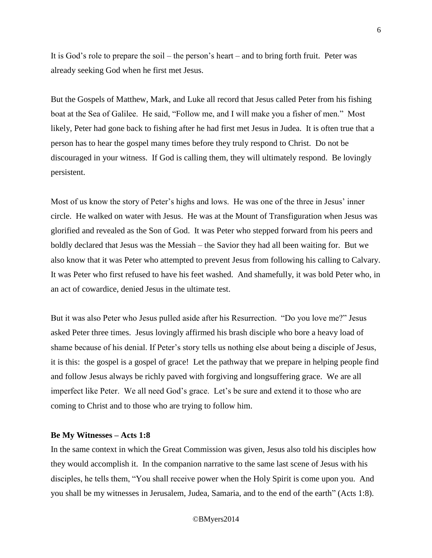It is God's role to prepare the soil – the person's heart – and to bring forth fruit. Peter was already seeking God when he first met Jesus.

But the Gospels of Matthew, Mark, and Luke all record that Jesus called Peter from his fishing boat at the Sea of Galilee. He said, "Follow me, and I will make you a fisher of men." Most likely, Peter had gone back to fishing after he had first met Jesus in Judea. It is often true that a person has to hear the gospel many times before they truly respond to Christ. Do not be discouraged in your witness. If God is calling them, they will ultimately respond. Be lovingly persistent.

Most of us know the story of Peter's highs and lows. He was one of the three in Jesus' inner circle. He walked on water with Jesus. He was at the Mount of Transfiguration when Jesus was glorified and revealed as the Son of God. It was Peter who stepped forward from his peers and boldly declared that Jesus was the Messiah – the Savior they had all been waiting for. But we also know that it was Peter who attempted to prevent Jesus from following his calling to Calvary. It was Peter who first refused to have his feet washed. And shamefully, it was bold Peter who, in an act of cowardice, denied Jesus in the ultimate test.

But it was also Peter who Jesus pulled aside after his Resurrection. "Do you love me?" Jesus asked Peter three times. Jesus lovingly affirmed his brash disciple who bore a heavy load of shame because of his denial. If Peter's story tells us nothing else about being a disciple of Jesus, it is this: the gospel is a gospel of grace! Let the pathway that we prepare in helping people find and follow Jesus always be richly paved with forgiving and longsuffering grace. We are all imperfect like Peter. We all need God's grace. Let's be sure and extend it to those who are coming to Christ and to those who are trying to follow him.

## **Be My Witnesses – Acts 1:8**

In the same context in which the Great Commission was given, Jesus also told his disciples how they would accomplish it. In the companion narrative to the same last scene of Jesus with his disciples, he tells them, "You shall receive power when the Holy Spirit is come upon you. And you shall be my witnesses in Jerusalem, Judea, Samaria, and to the end of the earth" (Acts 1:8).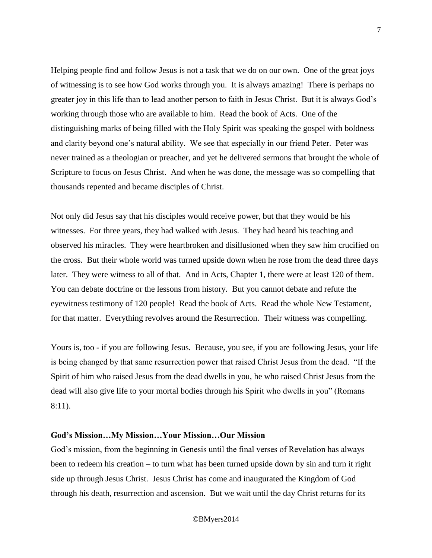Helping people find and follow Jesus is not a task that we do on our own. One of the great joys of witnessing is to see how God works through you. It is always amazing! There is perhaps no greater joy in this life than to lead another person to faith in Jesus Christ. But it is always God's working through those who are available to him. Read the book of Acts. One of the distinguishing marks of being filled with the Holy Spirit was speaking the gospel with boldness and clarity beyond one's natural ability. We see that especially in our friend Peter. Peter was never trained as a theologian or preacher, and yet he delivered sermons that brought the whole of Scripture to focus on Jesus Christ. And when he was done, the message was so compelling that thousands repented and became disciples of Christ.

Not only did Jesus say that his disciples would receive power, but that they would be his witnesses. For three years, they had walked with Jesus. They had heard his teaching and observed his miracles. They were heartbroken and disillusioned when they saw him crucified on the cross. But their whole world was turned upside down when he rose from the dead three days later. They were witness to all of that. And in Acts, Chapter 1, there were at least 120 of them. You can debate doctrine or the lessons from history. But you cannot debate and refute the eyewitness testimony of 120 people! Read the book of Acts. Read the whole New Testament, for that matter. Everything revolves around the Resurrection. Their witness was compelling.

Yours is, too - if you are following Jesus. Because, you see, if you are following Jesus, your life is being changed by that same resurrection power that raised Christ Jesus from the dead. "If the Spirit of him who raised Jesus from the dead dwells in you, he who raised Christ Jesus from the dead will also give life to your mortal bodies through his Spirit who dwells in you" (Romans 8:11).

### **God's Mission…My Mission…Your Mission…Our Mission**

God's mission, from the beginning in Genesis until the final verses of Revelation has always been to redeem his creation – to turn what has been turned upside down by sin and turn it right side up through Jesus Christ. Jesus Christ has come and inaugurated the Kingdom of God through his death, resurrection and ascension. But we wait until the day Christ returns for its